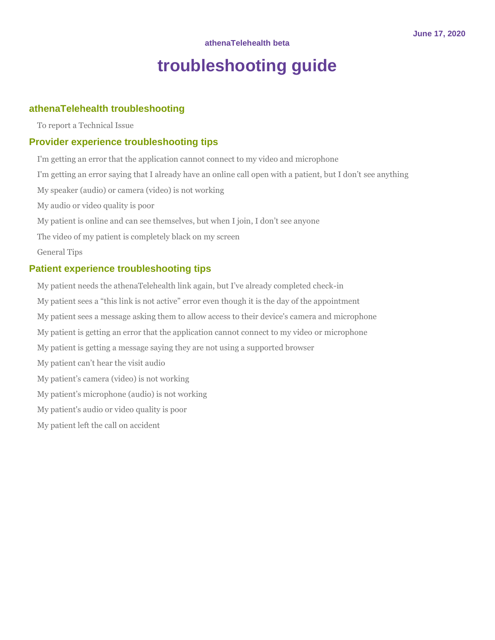# **troubleshooting guide**

## **[athenaTelehealth troubleshooting](#page-1-0)**

[To report a Technical Issue](#page-1-1)

## **[Provider experience troubleshooting tips](#page-1-2)**

[I'm getting an error that the application cannot connect to my video and microphone](#page-1-3) [I'm getting an error saying that I already have an online call open with a patient, but I don't](#page-1-4) see anything [My speaker \(audio\) or camera \(video\) is not working](#page-1-5) [My audio or video quality is poor](#page-1-6) [My patient is online and can see themselves, but when I join, I don't see anyone](#page-2-0) [The video of my patient is completely black on my screen](#page-2-1) [General Tips](#page-2-2)

### **[Patient experience troubleshooting tips](#page-2-3)**

[My patient needs the athenaTelehealth link again, but I've already completed check](#page-2-4)-in [My patient sees a "this link is not active" error even though it is the day of the appointment](#page-2-5) [My patient sees a message asking them to allow access to their device's camera and microphone](#page-2-6) [My patient is getting an error that the application cannot connect to my video or microphone](#page-2-7) [My patient is getting a message saying they are not using a supported browser](#page-3-0) [My patient can't hear the visit audio](#page-3-1) [My patient's camera \(video\) is not working](#page-4-0) [My patient's microphone \(audio\) is not working](#page-5-0) [My patient's audio or video quality is poor](#page-7-0) [My patient left the call on accident](#page-7-1)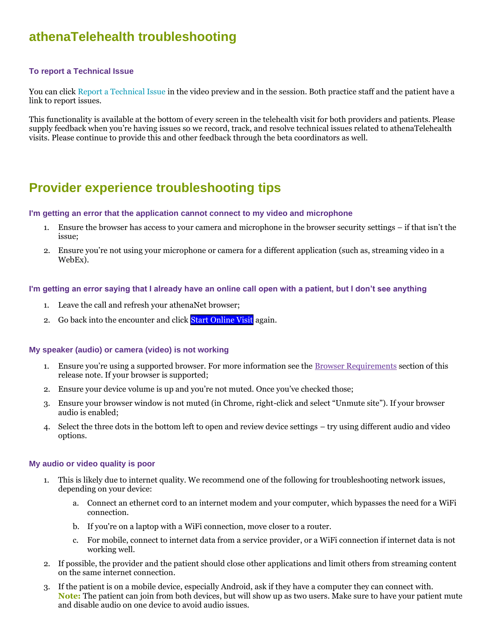# <span id="page-1-1"></span><span id="page-1-0"></span>**athenaTelehealth troubleshooting**

#### **To report a Technical Issue**

You can click Report a Technical Issue in the video preview and in the session. Both practice staff and the patient have a link to report issues.

This functionality is available at the bottom of every screen in the telehealth visit for both providers and patients. Please supply feedback when you're having issues so we record, track, and resolve technical issues related to athenaTelehealth visits. Please continue to provide this and other feedback through the beta coordinators as well.

# <span id="page-1-2"></span>**Provider experience troubleshooting tips**

#### <span id="page-1-3"></span>**I'm getting an error that the application cannot connect to my video and microphone**

- 1. Ensure the browser has access to your camera and microphone in the browser security settings if that isn't the issue;
- 2. Ensure you're not using your microphone or camera for a different application (such as, streaming video in a WebEx).

#### <span id="page-1-4"></span>**I'm getting an error saying that I already have an online call open with a patient, but I don't see anything**

- 1. Leave the call and refresh your athenaNet browser;
- 2. Go back into the encounter and click Start Online Visit again.

#### <span id="page-1-5"></span>**My speaker (audio) or camera (video) is not working**

- 1. Ensure you're using a supported browser. For more information see the [Browser Requirements](https://athenanet.athenahealth.com/1/1/postings/ReleaseNotes/Covid19ReleaseNotes/Content/Coll_AccessTelehealthApp_Beta_SCORE1538.htm#BrowserReq) section of this release note. If your browser is supported;
- 2. Ensure your device volume is up and you're not muted. Once you've checked those;
- 3. Ensure your browser window is not muted (in Chrome, right-click and select "Unmute site"). If your browser audio is enabled;
- 4. Select the three dots in the bottom left to open and review device settings try using different audio and video options.

#### <span id="page-1-6"></span>**My audio or video quality is poor**

- 1. This is likely due to internet quality. We recommend one of the following for troubleshooting network issues, depending on your device:
	- a. Connect an ethernet cord to an internet modem and your computer, which bypasses the need for a WiFi connection.
	- b. If you're on a laptop with a WiFi connection, move closer to a router.
	- c. For mobile, connect to internet data from a service provider, or a WiFi connection if internet data is not working well.
- 2. If possible, the provider and the patient should close other applications and limit others from streaming content on the same internet connection.
- 3. If the patient is on a mobile device, especially Android, ask if they have a computer they can connect with. **Note:** The patient can join from both devices, but will show up as two users. Make sure to have your patient mute and disable audio on one device to avoid audio issues.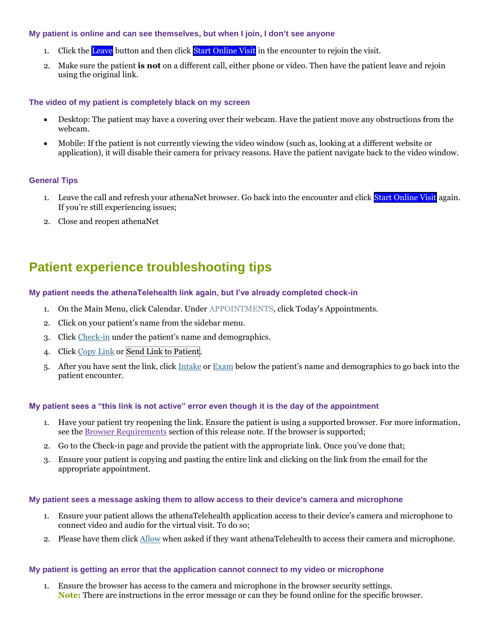#### <span id="page-2-0"></span>**My patient is online and can see themselves, but when I join, I don't see anyone**

- 1. Click the Leave button and then click Start Online Visit in the encounter to rejoin the visit.
- 2. Make sure the patient **is not** on a different call, either phone or video. Then have the patient leave and rejoin using the original link.

#### <span id="page-2-1"></span>**The video of my patient is completely black on my screen**

- Desktop: The patient may have a covering over their webcam. Have the patient move any obstructions from the webcam.
- Mobile: If the patient is not currently viewing the video window (such as, looking at a different website or application), it will disable their camera for privacy reasons. Have the patient navigate back to the video window.

#### <span id="page-2-2"></span>**General Tips**

- 1. Leave the call and refresh your athenaNet browser. Go back into the encounter and click Start Online Visit again. If you're still experiencing issues;
- 2. Close and reopen athenaNet

# <span id="page-2-3"></span>**Patient experience troubleshooting tips**

#### <span id="page-2-4"></span>**My patient needs the athenaTelehealth link again, but I've already completed check-in**

- 1. On the Main Menu, click Calendar. Under APPOINTMENTS, click Today's Appointments.
- 2. Click on your patient's name from the sidebar menu.
- 3. Click Check-in under the patient's name and demographics.
- 4. Click Copy Link or Send Link to Patient.
- 5. After you have sent the link, click Intake or Exam below the patient's name and demographics to go back into the patient encounter.

#### <span id="page-2-5"></span>**My patient sees a "this link is not active" error even though it is the day of the appointment**

- 1. Have your patient try reopening the link. Ensure the patient is using a supported browser. For more information, see the [Browser Requirements](https://athenanet.athenahealth.com/1/1/postings/ReleaseNotes/Covid19ReleaseNotes/Content/Coll_AccessTelehealthApp_Beta_SCORE1538.htm#BrowserReq) section of this release note. If the browser is supported;
- 2. Go to the Check-in page and provide the patient with the appropriate link. Once you've done that;
- 3. Ensure your patient is copying and pasting the entire link and clicking on the link from the email for the appropriate appointment.

#### <span id="page-2-6"></span>**My patient sees a message asking them to allow access to their device's camera and microphone**

- 1. Ensure your patient allows the athenaTelehealth application access to their device's camera and microphone to connect video and audio for the virtual visit. To do so;
- 2. Please have them click Allow when asked if they want athenaTelehealth to access their camera and microphone.

#### <span id="page-2-7"></span>**My patient is getting an error that the application cannot connect to my video or microphone**

1. Ensure the browser has access to the camera and microphone in the browser security settings. **Note:** There are instructions in the error message or can they be found online for the specific browser.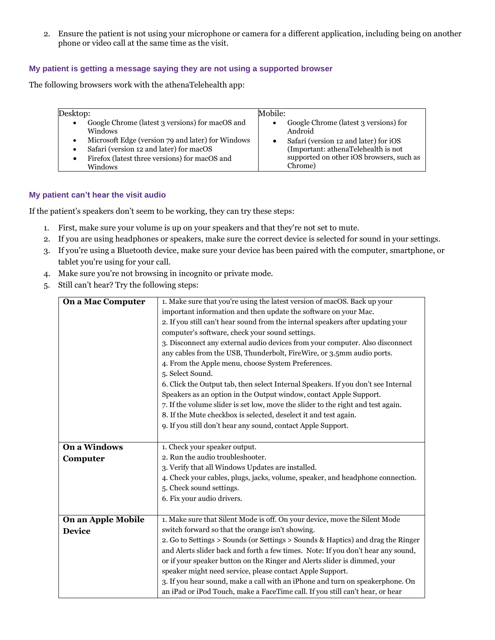2. Ensure the patient is not using your microphone or camera for a different application, including being on another phone or video call at the same time as the visit.

#### <span id="page-3-0"></span>**My patient is getting a message saying they are not using a supported browser**

The following browsers work with the athenaTelehealth app:

| Desktop:                                                                                                                                                                                                                      | Mobile:                                                                                                                                                                                 |
|-------------------------------------------------------------------------------------------------------------------------------------------------------------------------------------------------------------------------------|-----------------------------------------------------------------------------------------------------------------------------------------------------------------------------------------|
| Google Chrome (latest 3 versions) for macOS and<br><b>Windows</b><br>Microsoft Edge (version 79 and later) for Windows<br>Safari (version 12 and later) for macOS<br>Firefox (latest three versions) for macOS and<br>Windows | Google Chrome (latest 3 versions) for<br>Android<br>Safari (version 12 and later) for iOS<br>(Important: athenaTelehealth is not<br>supported on other iOS browsers, such as<br>Chrome) |

#### <span id="page-3-1"></span>**My patient can't hear the visit audio**

If the patient's speakers don't seem to be working, they can try these steps:

- 1. First, make sure your volume is up on your speakers and that they're not set to mute.
- 2. If you are using headphones or speakers, make sure the correct device is selected for sound in your settings.
- 3. If you're using a Bluetooth device, make sure your device has been paired with the computer, smartphone, or tablet you're using for your call.
- 4. Make sure you're not browsing in incognito or private mode.
- 5. Still can't hear? Try the following steps:

| <b>On a Mac Computer</b> | 1. Make sure that you're using the latest version of macOS. Back up your          |
|--------------------------|-----------------------------------------------------------------------------------|
|                          | important information and then update the software on your Mac.                   |
|                          | 2. If you still can't hear sound from the internal speakers after updating your   |
|                          | computer's software, check your sound settings.                                   |
|                          | 3. Disconnect any external audio devices from your computer. Also disconnect      |
|                          | any cables from the USB, Thunderbolt, FireWire, or 3.5mm audio ports.             |
|                          | 4. From the Apple menu, choose System Preferences.                                |
|                          | 5. Select Sound.                                                                  |
|                          | 6. Click the Output tab, then select Internal Speakers. If you don't see Internal |
|                          | Speakers as an option in the Output window, contact Apple Support.                |
|                          | 7. If the volume slider is set low, move the slider to the right and test again.  |
|                          | 8. If the Mute checkbox is selected, deselect it and test again.                  |
|                          | 9. If you still don't hear any sound, contact Apple Support.                      |
|                          |                                                                                   |
| <b>On a Windows</b>      | 1. Check your speaker output.                                                     |
| Computer                 | 2. Run the audio troubleshooter.                                                  |
|                          | 3. Verify that all Windows Updates are installed.                                 |
|                          | 4. Check your cables, plugs, jacks, volume, speaker, and headphone connection.    |
|                          | 5. Check sound settings.                                                          |
|                          | 6. Fix your audio drivers.                                                        |
|                          |                                                                                   |
| On an Apple Mobile       | 1. Make sure that Silent Mode is off. On your device, move the Silent Mode        |
| <b>Device</b>            | switch forward so that the orange isn't showing.                                  |
|                          | 2. Go to Settings > Sounds (or Settings > Sounds & Haptics) and drag the Ringer   |
|                          | and Alerts slider back and forth a few times. Note: If you don't hear any sound,  |
|                          | or if your speaker button on the Ringer and Alerts slider is dimmed, your         |
|                          | speaker might need service, please contact Apple Support.                         |
|                          | 3. If you hear sound, make a call with an iPhone and turn on speakerphone. On     |
|                          | an iPad or iPod Touch, make a FaceTime call. If you still can't hear, or hear     |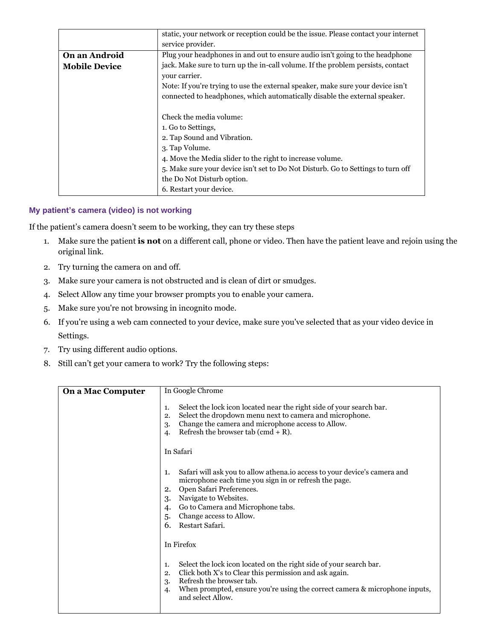|                      | static, your network or reception could be the issue. Please contact your internet |
|----------------------|------------------------------------------------------------------------------------|
|                      | service provider.                                                                  |
| On an Android        | Plug your headphones in and out to ensure audio isn't going to the headphone       |
| <b>Mobile Device</b> | jack. Make sure to turn up the in-call volume. If the problem persists, contact    |
|                      | your carrier.                                                                      |
|                      | Note: If you're trying to use the external speaker, make sure your device isn't    |
|                      | connected to headphones, which automatically disable the external speaker.         |
|                      |                                                                                    |
|                      | Check the media volume:                                                            |
|                      | 1. Go to Settings,                                                                 |
|                      | 2. Tap Sound and Vibration.                                                        |
|                      | 3. Tap Volume.                                                                     |
|                      | 4. Move the Media slider to the right to increase volume.                          |
|                      | 5. Make sure your device isn't set to Do Not Disturb. Go to Settings to turn off   |
|                      | the Do Not Disturb option.                                                         |
|                      | 6. Restart your device.                                                            |

#### <span id="page-4-0"></span>**My patient's camera (video) is not working**

If the patient's camera doesn't seem to be working, they can try these steps

- 1. Make sure the patient **is not** on a different call, phone or video. Then have the patient leave and rejoin using the original link.
- 2. Try turning the camera on and off.
- 3. Make sure your camera is not obstructed and is clean of dirt or smudges.
- 4. Select Allow any time your browser prompts you to enable your camera.
- 5. Make sure you're not browsing in incognito mode.
- 6. If you're using a web cam connected to your device, make sure you've selected that as your video device in Settings.
- 7. Try using different audio options.
- 8. Still can't get your camera to work? Try the following steps:

| <b>On a Mac Computer</b> | In Google Chrome                                                                                                                                                                                                                                                                                                |
|--------------------------|-----------------------------------------------------------------------------------------------------------------------------------------------------------------------------------------------------------------------------------------------------------------------------------------------------------------|
|                          | Select the lock icon located near the right side of your search bar.<br>1.<br>Select the dropdown menu next to camera and microphone.<br>2.<br>Change the camera and microphone access to Allow.<br>3.<br>Refresh the browser tab (cmd $+$ R).<br>$\mathbf{4}$                                                  |
|                          | In Safari                                                                                                                                                                                                                                                                                                       |
|                          | Safari will ask you to allow athena. io access to your device's camera and<br>1.<br>microphone each time you sign in or refresh the page.<br>Open Safari Preferences.<br>2.<br>Navigate to Websites.<br>3.<br>Go to Camera and Microphone tabs.<br>4.<br>Change access to Allow.<br>5.<br>Restart Safari.<br>6. |
|                          | In Firefox                                                                                                                                                                                                                                                                                                      |
|                          | Select the lock icon located on the right side of your search bar.<br>1.<br>Click both X's to Clear this permission and ask again.<br>2.<br>Refresh the browser tab.<br>3.<br>When prompted, ensure you're using the correct camera & microphone inputs,<br>4.<br>and select Allow.                             |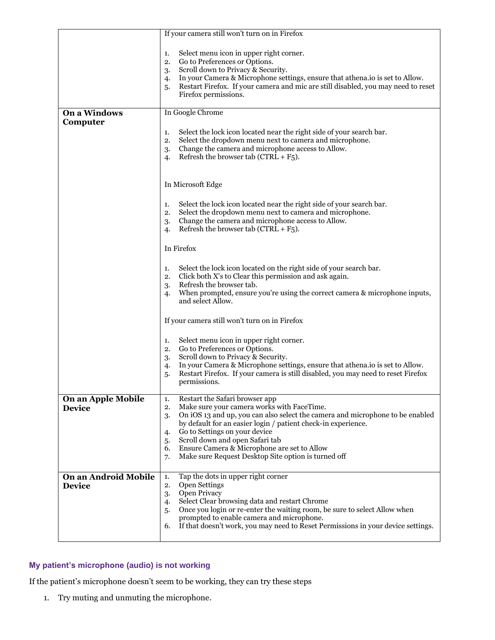|                                       | If your camera still won't turn on in Firefox                                                                                                                                                                                                                                                                                                                                                                                                      |
|---------------------------------------|----------------------------------------------------------------------------------------------------------------------------------------------------------------------------------------------------------------------------------------------------------------------------------------------------------------------------------------------------------------------------------------------------------------------------------------------------|
|                                       | Select menu icon in upper right corner.<br>1.<br>Go to Preferences or Options.<br>2.<br>Scroll down to Privacy & Security.<br>3.<br>In your Camera & Microphone settings, ensure that athena.io is set to Allow.<br>4.<br>Restart Firefox. If your camera and mic are still disabled, you may need to reset<br>5.<br>Firefox permissions.                                                                                                          |
| <b>On a Windows</b>                   | In Google Chrome                                                                                                                                                                                                                                                                                                                                                                                                                                   |
| Computer                              | Select the lock icon located near the right side of your search bar.<br>1.<br>Select the dropdown menu next to camera and microphone.<br>2.<br>Change the camera and microphone access to Allow.<br>3.<br>Refresh the browser tab ( $CTRL + F_5$ ).<br>4.                                                                                                                                                                                          |
|                                       | In Microsoft Edge                                                                                                                                                                                                                                                                                                                                                                                                                                  |
|                                       | Select the lock icon located near the right side of your search bar.<br>1.<br>Select the dropdown menu next to camera and microphone.<br>2.<br>Change the camera and microphone access to Allow.<br>3.<br>Refresh the browser tab ( $CTRL + F_5$ ).<br>4.                                                                                                                                                                                          |
|                                       | In Firefox                                                                                                                                                                                                                                                                                                                                                                                                                                         |
|                                       | Select the lock icon located on the right side of your search bar.<br>1.<br>Click both X's to Clear this permission and ask again.<br>2.<br>Refresh the browser tab.<br>3.<br>When prompted, ensure you're using the correct camera & microphone inputs,<br>4.<br>and select Allow.                                                                                                                                                                |
|                                       | If your camera still won't turn on in Firefox                                                                                                                                                                                                                                                                                                                                                                                                      |
|                                       | Select menu icon in upper right corner.<br>1.<br>Go to Preferences or Options.<br>2.<br>Scroll down to Privacy & Security.<br>3.<br>In your Camera & Microphone settings, ensure that athena.io is set to Allow.<br>4.<br>Restart Firefox. If your camera is still disabled, you may need to reset Firefox<br>5.<br>permissions.                                                                                                                   |
| On an Apple Mobile<br><b>Device</b>   | Restart the Safari browser app<br>1.<br>Make sure your camera works with FaceTime.<br>2.<br>On iOS 13 and up, you can also select the camera and microphone to be enabled<br>3.<br>by default for an easier login / patient check-in experience.<br>Go to Settings on your device<br>4.<br>Scroll down and open Safari tab<br>5.<br>Ensure Camera & Microphone are set to Allow<br>6.<br>Make sure Request Desktop Site option is turned off<br>7. |
| On an Android Mobile<br><b>Device</b> | Tap the dots in upper right corner<br>1.<br><b>Open Settings</b><br>2.<br>Open Privacy<br>3.<br>Select Clear browsing data and restart Chrome<br>4.<br>Once you login or re-enter the waiting room, be sure to select Allow when<br>5.<br>prompted to enable camera and microphone.<br>If that doesn't work, you may need to Reset Permissions in your device settings.<br>6.                                                                      |

### <span id="page-5-0"></span>**My patient's microphone (audio) is not working**

If the patient's microphone doesn't seem to be working, they can try these steps

1. Try muting and unmuting the microphone.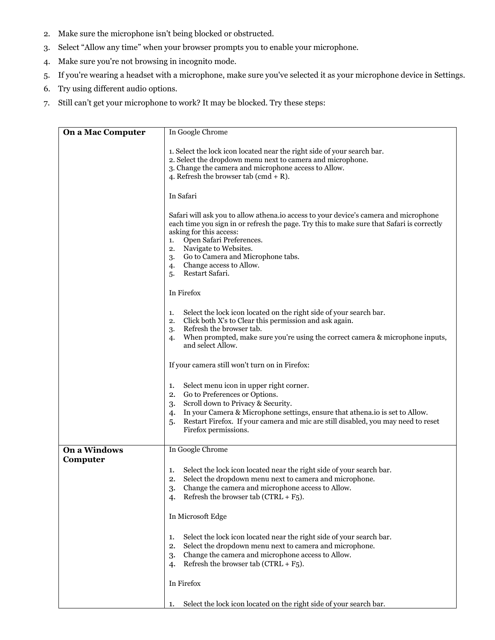- 2. Make sure the microphone isn't being blocked or obstructed.
- 3. Select "Allow any time" when your browser prompts you to enable your microphone.
- 4. Make sure you're not browsing in incognito mode.
- 5. If you're wearing a headset with a microphone, make sure you've selected it as your microphone device in Settings.
- 6. Try using different audio options.
- 7. Still can't get your microphone to work? It may be blocked. Try these steps:

| <b>On a Mac Computer</b> | In Google Chrome                                                                                                                                                                                                                                                                                                                                                                    |
|--------------------------|-------------------------------------------------------------------------------------------------------------------------------------------------------------------------------------------------------------------------------------------------------------------------------------------------------------------------------------------------------------------------------------|
|                          | 1. Select the lock icon located near the right side of your search bar.<br>2. Select the dropdown menu next to camera and microphone.<br>3. Change the camera and microphone access to Allow.<br>4. Refresh the browser tab (cmd + R).                                                                                                                                              |
|                          | In Safari                                                                                                                                                                                                                                                                                                                                                                           |
|                          | Safari will ask you to allow athena. io access to your device's camera and microphone<br>each time you sign in or refresh the page. Try this to make sure that Safari is correctly<br>asking for this access:<br>Open Safari Preferences.<br>1.<br>Navigate to Websites.<br>2.<br>Go to Camera and Microphone tabs.<br>3.<br>Change access to Allow.<br>4.<br>Restart Safari.<br>5. |
|                          | In Firefox                                                                                                                                                                                                                                                                                                                                                                          |
|                          | Select the lock icon located on the right side of your search bar.<br>1.<br>Click both X's to Clear this permission and ask again.<br>2.<br>Refresh the browser tab.<br>3.<br>When prompted, make sure you're using the correct camera & microphone inputs,<br>4.<br>and select Allow.                                                                                              |
|                          | If your camera still won't turn on in Firefox:                                                                                                                                                                                                                                                                                                                                      |
|                          | Select menu icon in upper right corner.<br>1.<br>Go to Preferences or Options.<br>2.<br>Scroll down to Privacy & Security.<br>3.<br>In your Camera & Microphone settings, ensure that athena.io is set to Allow.<br>4.<br>Restart Firefox. If your camera and mic are still disabled, you may need to reset<br>5.<br>Firefox permissions.                                           |
| <b>On a Windows</b>      | In Google Chrome                                                                                                                                                                                                                                                                                                                                                                    |
| Computer                 | Select the lock icon located near the right side of your search bar.<br>1.<br>Select the dropdown menu next to camera and microphone.<br>2.<br>Change the camera and microphone access to Allow.<br>3.<br>Refresh the browser tab ( $CTRL + F_5$ ).<br>4.                                                                                                                           |
|                          | In Microsoft Edge                                                                                                                                                                                                                                                                                                                                                                   |
|                          | Select the lock icon located near the right side of your search bar.<br>1.<br>Select the dropdown menu next to camera and microphone.<br>2.<br>Change the camera and microphone access to Allow.<br>3.<br>Refresh the browser tab ( $CTRL + F_5$ ).<br>4.                                                                                                                           |
|                          | In Firefox                                                                                                                                                                                                                                                                                                                                                                          |
|                          | Select the lock icon located on the right side of your search bar.<br>1.                                                                                                                                                                                                                                                                                                            |